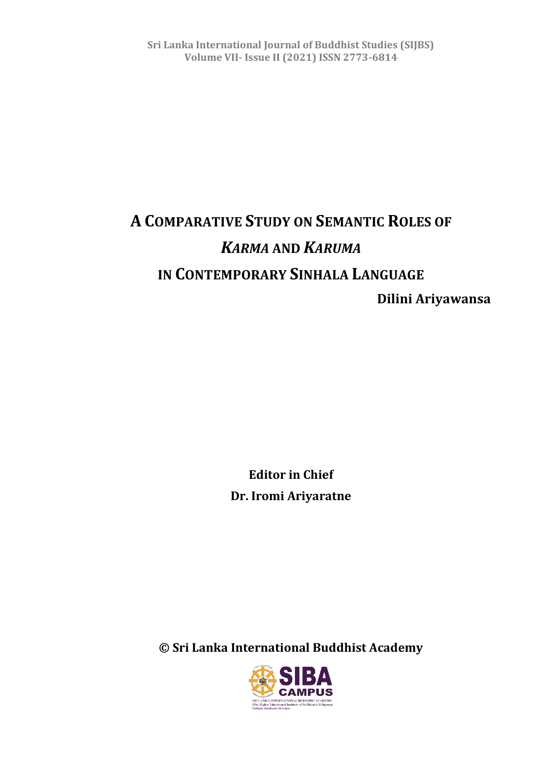# **A COMPARATIVE STUDY ON SEMANTIC ROLES OF**  *KARMA* **AND** *KARUMA* **IN CONTEMPORARY SINHALA LANGUAGE Dilini Ariyawansa**

**Editor in Chief Dr. Iromi Ariyaratne**

**© Sri Lanka International Buddhist Academy**

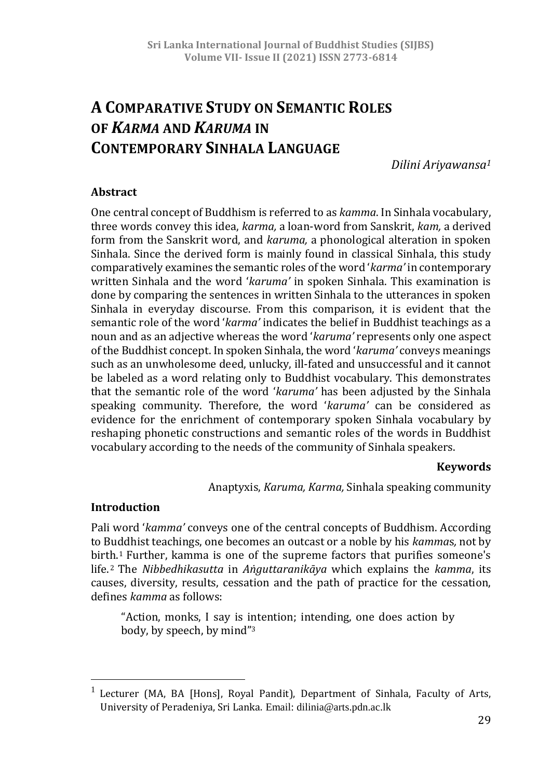# **A COMPARATIVE STUDY ON SEMANTIC ROLES OF** *KARMA* **AND** *KARUMA* **IN CONTEMPORARY SINHALA LANGUAGE**

*Dilini Ariyawansa<sup>1</sup>*

#### **Abstract**

One central concept of Buddhism is referred to as *kamma*. In Sinhala vocabulary, three words convey this idea, *karma,* a loan-word from Sanskrit, *kam,* a derived form from the Sanskrit word, and *karuma,* a phonological alteration in spoken Sinhala. Since the derived form is mainly found in classical Sinhala, this study comparatively examines the semantic roles of the word '*karma'* in contemporary written Sinhala and the word '*karuma'* in spoken Sinhala. This examination is done by comparing the sentences in written Sinhala to the utterances in spoken Sinhala in everyday discourse. From this comparison, it is evident that the semantic role of the word '*karma'* indicates the belief in Buddhist teachings as a noun and as an adjective whereas the word '*karuma'* represents only one aspect of the Buddhist concept. In spoken Sinhala, the word '*karuma'* conveys meanings such as an unwholesome deed, unlucky, ill-fated and unsuccessful and it cannot be labeled as a word relating only to Buddhist vocabulary. This demonstrates that the semantic role of the word '*karuma'* has been adjusted by the Sinhala speaking community. Therefore, the word '*karuma'* can be considered as evidence for the enrichment of contemporary spoken Sinhala vocabulary by reshaping phonetic constructions and semantic roles of the words in Buddhist vocabulary according to the needs of the community of Sinhala speakers.

#### **Keywords**

Anaptyxis, *Karuma, Karma,* Sinhala speaking community

#### **Introduction**

 $\overline{a}$ 

Pali word '*kamma'* conveys one of the central concepts of Buddhism. According to Buddhist teachings, one becomes an outcast or a noble by his *kamma*s*,* not by birth.<sup>1</sup> Further, kamma is one of the supreme factors that purifies someone's life. <sup>2</sup> The *Nibbedhikasutta* in *Aṅguttaranikāya* which explains the *kamma*, its causes, diversity, results, cessation and the path of practice for the cessation, defines *kamma* as follows:

"Action, monks, I say is intention; intending, one does action by body, by speech, by mind"<sup>3</sup>

<sup>&</sup>lt;sup>1</sup> Lecturer (MA, BA [Hons], Royal Pandit), Department of Sinhala, Faculty of Arts, University of Peradeniya, Sri Lanka. Email: dilinia@arts.pdn.ac.lk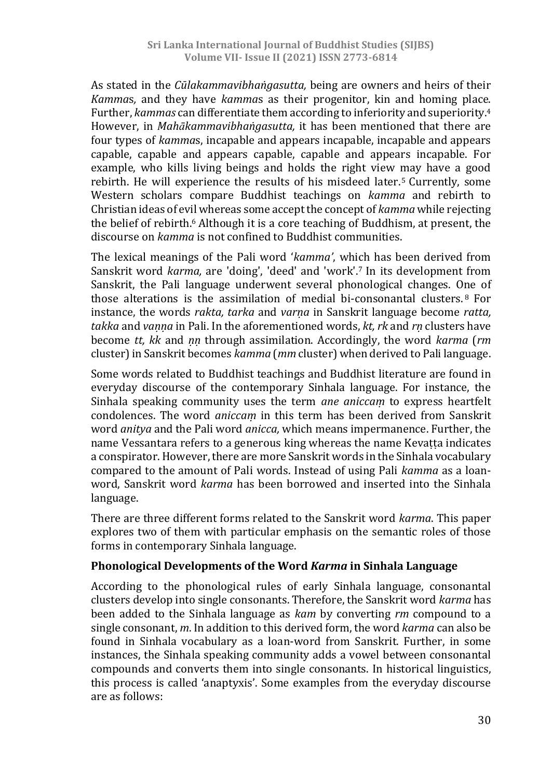As stated in the *Cūlakammavibhaṅgasutta,* being are owners and heirs of their *Kamma*s*,* and they have *kamma*s as their progenitor, kin and homing place. Further, *kammas* can differentiate them according to inferiority and superiority.<sup>4</sup> However, in *Mahākammavibhaṅgasutta,* it has been mentioned that there are four types of *kamma*s, incapable and appears incapable, incapable and appears capable, capable and appears capable, capable and appears incapable. For example, who kills living beings and holds the right view may have a good rebirth. He will experience the results of his misdeed later.<sup>5</sup> Currently, some Western scholars compare Buddhist teachings on *kamma* and rebirth to Christian ideas of evil whereas some accept the concept of *kamma* while rejecting the belief of rebirth.<sup>6</sup> Although it is a core teaching of Buddhism, at present, the discourse on *kamma* is not confined to Buddhist communities.

The lexical meanings of the Pali word '*kamma'*, which has been derived from Sanskrit word *karma,* are 'doing', 'deed' and 'work'.<sup>7</sup> In its development from Sanskrit, the Pali language underwent several phonological changes. One of those alterations is the assimilation of medial bi-consonantal clusters. <sup>8</sup> For instance, the words *rakta, tarka* and *varṇa* in Sanskrit language become *ratta, takka* and *vaṇṇa* in Pali. In the aforementioned words, *kt, rk* and *rṇ* clusters have become *tt, kk* and *ṇṇ* through assimilation. Accordingly, the word *karma* (*rm* cluster) in Sanskrit becomes *kamma* (*mm* cluster) when derived to Pali language.

Some words related to Buddhist teachings and Buddhist literature are found in everyday discourse of the contemporary Sinhala language. For instance, the Sinhala speaking community uses the term *ane aniccaṃ* to express heartfelt condolences. The word *aniccaṃ* in this term has been derived from Sanskrit word *anitya* and the Pali word *anicca,* which means impermanence. Further, the name Vessantara refers to a generous king whereas the name Kevatta indicates a conspirator. However, there are more Sanskrit words in the Sinhala vocabulary compared to the amount of Pali words. Instead of using Pali *kamma* as a loanword, Sanskrit word *karma* has been borrowed and inserted into the Sinhala language.

There are three different forms related to the Sanskrit word *karma*. This paper explores two of them with particular emphasis on the semantic roles of those forms in contemporary Sinhala language.

#### **Phonological Developments of the Word** *Karma* **in Sinhala Language**

According to the phonological rules of early Sinhala language, consonantal clusters develop into single consonants. Therefore, the Sanskrit word *karma* has been added to the Sinhala language as *kam* by converting *rm* compound to a single consonant, *m*. In addition to this derived form, the word *karma* can also be found in Sinhala vocabulary as a loan-word from Sanskrit. Further, in some instances, the Sinhala speaking community adds a vowel between consonantal compounds and converts them into single consonants. In historical linguistics, this process is called 'anaptyxis'. Some examples from the everyday discourse are as follows: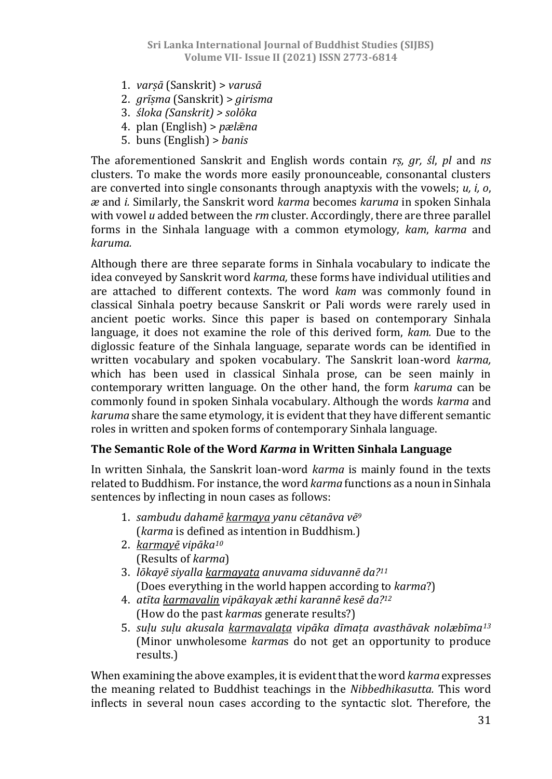- 1. *varṣā* (Sanskrit) > *varusā*
- 2. *grīṣma* (Sanskrit) > *girisma*
- 3. *śloka (Sanskrit) > solōka*
- 4. plan (English) > *pælǣna*
- 5. buns (English) > *banis*

The aforementioned Sanskrit and English words contain *rṣ, gr, śl*, *pl* and *ns* clusters. To make the words more easily pronounceable, consonantal clusters are converted into single consonants through anaptyxis with the vowels; *u, i, o*, *æ* and *i.* Similarly, the Sanskrit word *karma* becomes *karuma* in spoken Sinhala with vowel *u* added between the *rm* cluster. Accordingly, there are three parallel forms in the Sinhala language with a common etymology, *kam*, *karma* and *karuma.*

Although there are three separate forms in Sinhala vocabulary to indicate the idea conveyed by Sanskrit word *karma,* these forms have individual utilities and are attached to different contexts. The word *kam* was commonly found in classical Sinhala poetry because Sanskrit or Pali words were rarely used in ancient poetic works. Since this paper is based on contemporary Sinhala language, it does not examine the role of this derived form, *kam.* Due to the diglossic feature of the Sinhala language, separate words can be identified in written vocabulary and spoken vocabulary. The Sanskrit loan-word *karma,* which has been used in classical Sinhala prose, can be seen mainly in contemporary written language. On the other hand, the form *karuma* can be commonly found in spoken Sinhala vocabulary. Although the words *karma* and *karuma* share the same etymology, it is evident that they have different semantic roles in written and spoken forms of contemporary Sinhala language.

#### **The Semantic Role of the Word** *Karma* **in Written Sinhala Language**

In written Sinhala, the Sanskrit loan-word *karma* is mainly found in the texts related to Buddhism. For instance, the word *karma* functions as a noun in Sinhala sentences by inflecting in noun cases as follows:

- 1. *sambudu dahamē karmaya yanu cētanāva vē<sup>9</sup>* (*karma* is defined as intention in Buddhism*.*)
- 2. *karmayē vipāka<sup>10</sup>* (Results of *karma*)
- 3. *lōkayē siyalla karmayaṭa anuvama siduvannē da?<sup>11</sup>* (Does everything in the world happen according to *karma*?)
- 4. *atīta karmavalin vipākayak æthi karannē kesē da?<sup>12</sup>* (How do the past *karma*s generate results?)
- 5. *suḷu suḷu akusala karmavalaṭa vipāka dīmaṭa avasthāvak nolæbīma<sup>13</sup>* (Minor unwholesome *karma*s do not get an opportunity to produce results.)

When examining the above examples, it is evident that the word *karma* expresses the meaning related to Buddhist teachings in the *Nibbedhikasutta.* This word inflects in several noun cases according to the syntactic slot*.* Therefore, the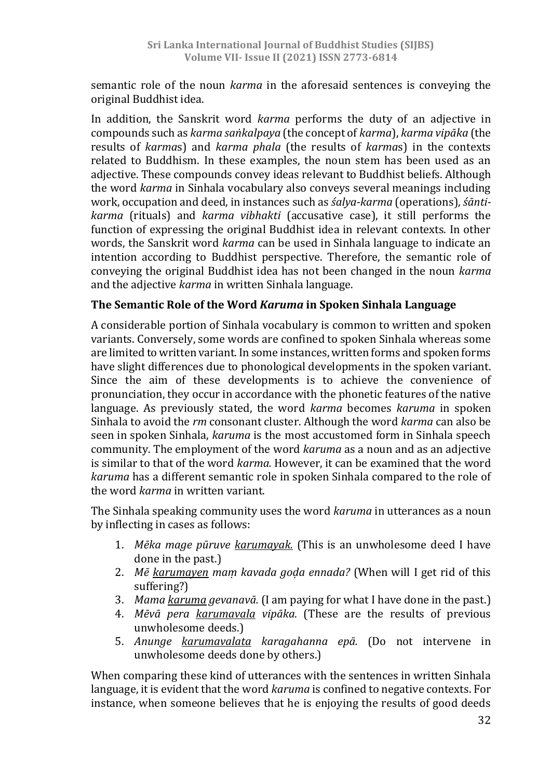semantic role of the noun *karma* in the aforesaid sentences is conveying the original Buddhist idea.

In addition, the Sanskrit word *karma* performs the duty of an adjective in compounds such as *karma saṅkalpaya* (the concept of *karma*), *karma vipāka* (the results of *karma*s) and *karma phala* (the results of *karma*s) in the contexts related to Buddhism. In these examples, the noun stem has been used as an adjective. These compounds convey ideas relevant to Buddhist beliefs. Although the word *karma* in Sinhala vocabulary also conveys several meanings including work, occupation and deed, in instances such as *śalya-karma* (operations), *śāntikarma* (rituals) and *karma vibhakti* (accusative case), it still performs the function of expressing the original Buddhist idea in relevant contexts. In other words, the Sanskrit word *karma* can be used in Sinhala language to indicate an intention according to Buddhist perspective. Therefore, the semantic role of conveying the original Buddhist idea has not been changed in the noun *karma* and the adjective *karma* in written Sinhala language.

#### **The Semantic Role of the Word** *Karuma* **in Spoken Sinhala Language**

A considerable portion of Sinhala vocabulary is common to written and spoken variants. Conversely, some words are confined to spoken Sinhala whereas some are limited to written variant. In some instances, written forms and spoken forms have slight differences due to phonological developments in the spoken variant. Since the aim of these developments is to achieve the convenience of pronunciation, they occur in accordance with the phonetic features of the native language. As previously stated, the word *karma* becomes *karuma* in spoken Sinhala to avoid the *rm* consonant cluster. Although the word *karma* can also be seen in spoken Sinhala, *karuma* is the most accustomed form in Sinhala speech community. The employment of the word *karuma* as a noun and as an adjective is similar to that of the word *karma.* However, it can be examined that the word *karuma* has a different semantic role in spoken Sinhala compared to the role of the word *karma* in written variant.

The Sinhala speaking community uses the word *karuma* in utterances as a noun by inflecting in cases as follows:

- 1. *Mēka mage pūruve karumayak.* (This is an unwholesome deed I have done in the past.)
- 2. *Mē karumayen maṃ kavada goḍa ennada?* (When will I get rid of this suffering?)
- 3. *Mama karuma gevanavā.* (I am paying for what I have done in the past.)
- 4. *Mēvā pera karumavala vipāka.* (These are the results of previous unwholesome deeds.)
- 5. *Anunge karumavalata karagahanna epā.* (Do not intervene in unwholesome deeds done by others.)

When comparing these kind of utterances with the sentences in written Sinhala language, it is evident that the word *karuma* is confined to negative contexts. For instance, when someone believes that he is enjoying the results of good deeds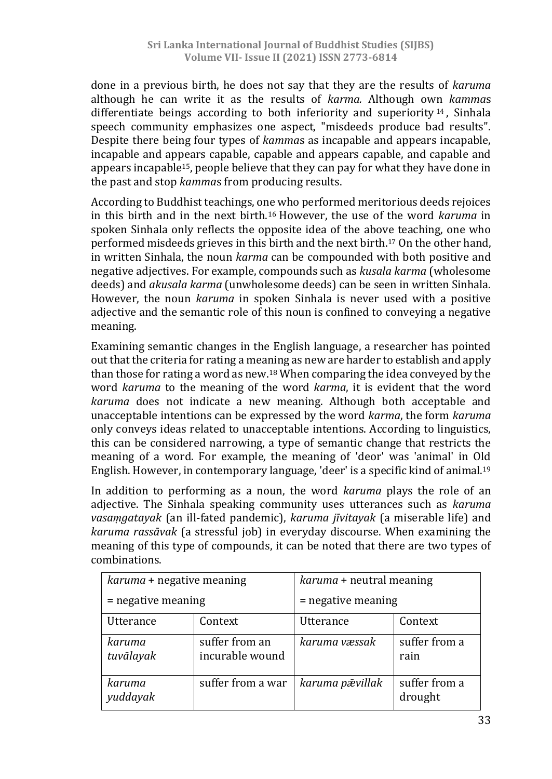done in a previous birth, he does not say that they are the results of *karuma* although he can write it as the results of *karma.* Although own *kamma*s differentiate beings according to both inferiority and superiority  $14$ , Sinhala speech community emphasizes one aspect, "misdeeds produce bad results". Despite there being four types of *kamma*s as incapable and appears incapable, incapable and appears capable, capable and appears capable, and capable and appears incapable15, people believe that they can pay for what they have done in the past and stop *kamma*s from producing results.

According to Buddhist teachings, one who performed meritorious deeds rejoices in this birth and in the next birth.<sup>16</sup> However, the use of the word *karuma* in spoken Sinhala only reflects the opposite idea of the above teaching, one who performed misdeeds grieves in this birth and the next birth.<sup>17</sup> On the other hand, in written Sinhala, the noun *karma* can be compounded with both positive and negative adjectives. For example, compounds such as *kusala karma* (wholesome deeds) and *akusala karma* (unwholesome deeds) can be seen in written Sinhala. However, the noun *karuma* in spoken Sinhala is never used with a positive adjective and the semantic role of this noun is confined to conveying a negative meaning.

Examining semantic changes in the English language, a researcher has pointed out that the criteria for rating a meaning as new are harder to establish and apply than those for rating a word as new.<sup>18</sup> When comparing the idea conveyed by the word *karuma* to the meaning of the word *karma*, it is evident that the word *karuma* does not indicate a new meaning. Although both acceptable and unacceptable intentions can be expressed by the word *karma*, the form *karuma* only conveys ideas related to unacceptable intentions. According to linguistics, this can be considered narrowing, a type of semantic change that restricts the meaning of a word. For example, the meaning of 'deor' was 'animal' in Old English. However, in contemporary language, 'deer' is a specific kind of animal.<sup>19</sup>

In addition to performing as a noun, the word *karuma* plays the role of an adjective. The Sinhala speaking community uses utterances such as *karuma vasaṃgatayak* (an ill-fated pandemic), *karuma jīvitayak* (a miserable life) and *karuma rassāvak* (a stressful job) in everyday discourse. When examining the meaning of this type of compounds, it can be noted that there are two types of combinations.

| karuma + negative meaning |                                   | karuma + neutral meaning |                          |  |
|---------------------------|-----------------------------------|--------------------------|--------------------------|--|
| $=$ negative meaning      |                                   | $=$ negative meaning     |                          |  |
| <b>Utterance</b>          | Context                           | Utterance                | Context                  |  |
| karuma<br>tuvālayak       | suffer from an<br>incurable wound | karuma væssak            | suffer from a<br>rain    |  |
| karuma<br>yuddayak        | suffer from a war                 | karuma pāvillak          | suffer from a<br>drought |  |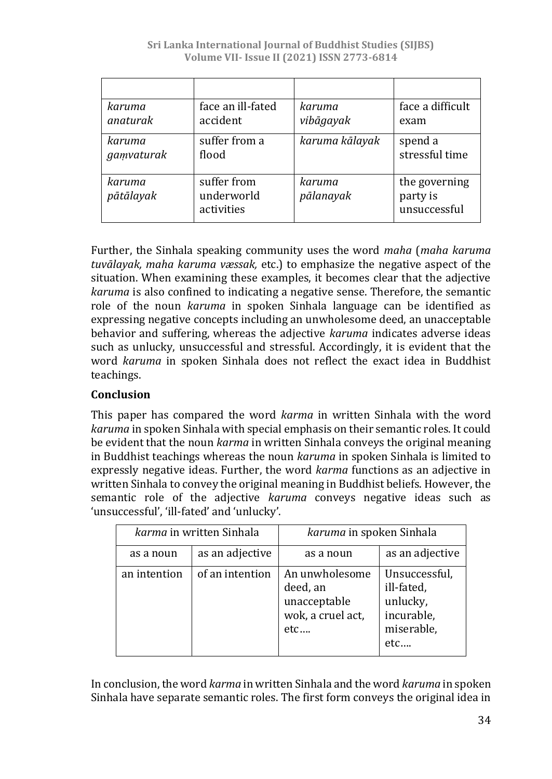| karuma     | face an ill-fated        | karuma         | face a difficult         |
|------------|--------------------------|----------------|--------------------------|
| anaturak   | accident                 | vibāgayak      | exam                     |
| karuma     | suffer from a            | karuma kālayak | spend a                  |
| gamvaturak | flood                    |                | stressful time           |
| karuma     | suffer from              | karuma         | the governing            |
| pātālayak  | underworld<br>activities | pālanayak      | party is<br>unsuccessful |

Further, the Sinhala speaking community uses the word *maha* (*maha karuma tuvālayak, maha karuma væssak,* etc.) to emphasize the negative aspect of the situation. When examining these examples, it becomes clear that the adjective *karuma* is also confined to indicating a negative sense. Therefore, the semantic role of the noun *karuma* in spoken Sinhala language can be identified as expressing negative concepts including an unwholesome deed, an unacceptable behavior and suffering, whereas the adjective *karuma* indicates adverse ideas such as unlucky, unsuccessful and stressful. Accordingly, it is evident that the word *karuma* in spoken Sinhala does not reflect the exact idea in Buddhist teachings.

# **Conclusion**

This paper has compared the word *karma* in written Sinhala with the word *karuma* in spoken Sinhala with special emphasis on their semantic roles. It could be evident that the noun *karma* in written Sinhala conveys the original meaning in Buddhist teachings whereas the noun *karuma* in spoken Sinhala is limited to expressly negative ideas. Further, the word *karma* functions as an adjective in written Sinhala to convey the original meaning in Buddhist beliefs. However, the semantic role of the adjective *karuma* conveys negative ideas such as 'unsuccessful', 'ill-fated' and 'unlucky'.

| karma in written Sinhala |                 | karuma in spoken Sinhala                                               |                                                                            |
|--------------------------|-----------------|------------------------------------------------------------------------|----------------------------------------------------------------------------|
| as a noun                | as an adjective | as a noun                                                              | as an adjective                                                            |
| an intention             | of an intention | An unwholesome<br>deed, an<br>unacceptable<br>wok, a cruel act,<br>etc | Unsuccessful,<br>ill-fated,<br>unlucky,<br>incurable,<br>miserable,<br>etc |

In conclusion, the word *karma* in written Sinhala and the word *karuma* in spoken Sinhala have separate semantic roles. The first form conveys the original idea in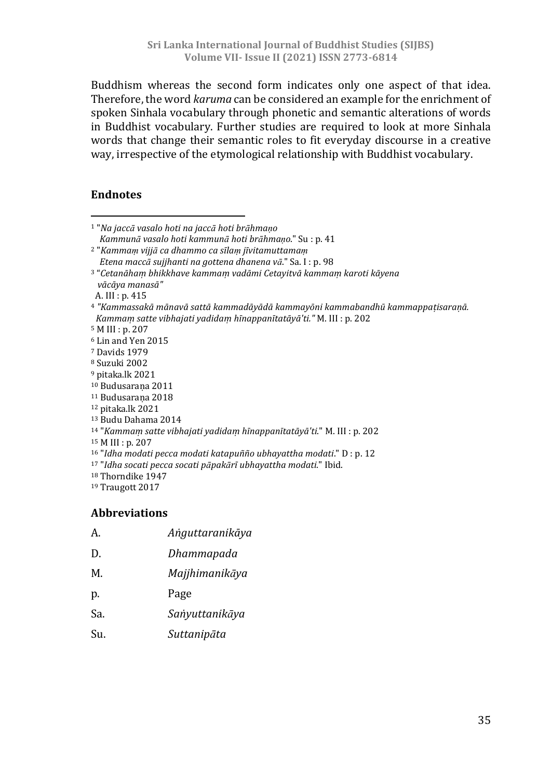Buddhism whereas the second form indicates only one aspect of that idea. Therefore, the word *karuma* can be considered an example for the enrichment of spoken Sinhala vocabulary through phonetic and semantic alterations of words in Buddhist vocabulary. Further studies are required to look at more Sinhala words that change their semantic roles to fit everyday discourse in a creative way, irrespective of the etymological relationship with Buddhist vocabulary.

#### **Endnotes**

| <sup>1</sup> "Na jaccā vasalo hoti na jaccā hoti brāhmaņo                                        |
|--------------------------------------------------------------------------------------------------|
| Kammunā vasalo hoti kammunā hoti brāhmaņo." Su : p. 41                                           |
| <sup>2</sup> "Kammam vijjā ca dhammo ca sīlam jīvitamuttamam                                     |
| Etena maccā sujihanti na gottena dhanena vā." Sa. I : p. 98                                      |
| <sup>3</sup> "Cetanāham bhikkhave kammam vadāmi Cetayitvā kammam karoti kāyena<br>vācāya manasā" |
| A. III : p. 415                                                                                  |
| <sup>4</sup> "Kammassakā mānavā sattā kammadāyādā kammayōni kammabandhū kammappaṭisaraṇā.        |
| Kammam satte vibhajati yadidam hīnappanītatāyā'ti." M. III : p. 202                              |
| <sup>5</sup> M III : p. 207                                                                      |
| <sup>6</sup> Lin and Yen 2015                                                                    |
| <sup>7</sup> Davids 1979                                                                         |
| <sup>8</sup> Suzuki 2002                                                                         |
| <sup>9</sup> pitaka.lk 2021                                                                      |
| <sup>10</sup> Budusarana 2011                                                                    |
| <sup>11</sup> Budusarana 2018                                                                    |
| <sup>12</sup> pitaka.lk 2021                                                                     |
| <sup>13</sup> Budu Dahama 2014                                                                   |
| <sup>14</sup> "Kammam satte vibhajati yadidam hīnappanītatāyā'ti." M. III : p. 202               |
| $15$ M III : p. 207                                                                              |
| <sup>16</sup> "Idha modati pecca modati katapuñño ubhayattha modati." D : p. 12                  |
| 17 "Idha socati pecca socati pāpakārī ubhayattha modati." Ibid.                                  |
| <sup>18</sup> Thorndike 1947                                                                     |
| <sup>19</sup> Traugott 2017                                                                      |
|                                                                                                  |
| <b>Abbreviations</b>                                                                             |

- A. *Aṅguttaranikāya*
- D. *Dhammapada*
- M. *Majjhimanikāya*
- p. Page
- Sa. *Saṅyuttanikāya*
- Su. *Suttanipāta*